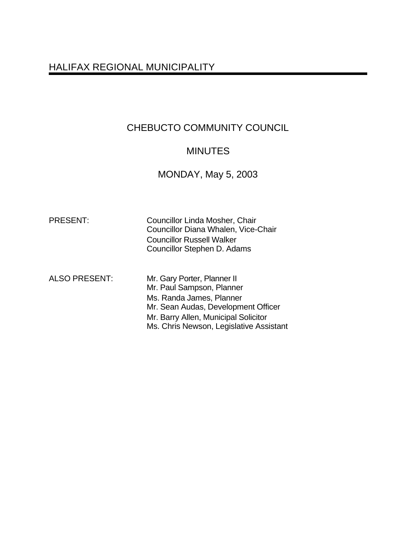# HALIFAX REGIONAL MUNICIPALITY

# CHEBUCTO COMMUNITY COUNCIL

## **MINUTES**

## MONDAY, May 5, 2003

Councillor Linda Mosher, Chair Councillor Diana Whalen, Vice-Chair Councillor Russell Walker Councillor Stephen D. Adams

ALSO PRESENT: Mr. Gary Porter, Planner II Mr. Paul Sampson, Planner Ms. Randa James, Planner

Mr. Sean Audas, Development Officer

Mr. Barry Allen, Municipal Solicitor

Ms. Chris Newson, Legislative Assistant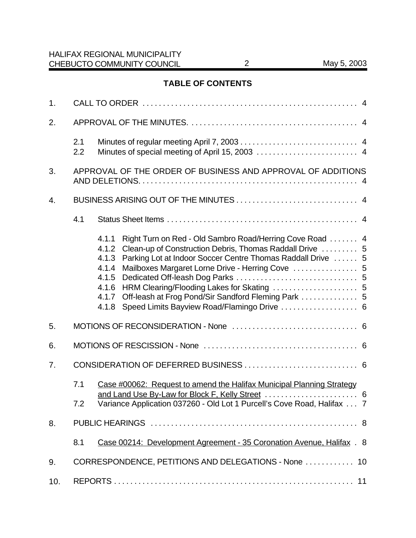## **TABLE OF CONTENTS**

| 1.  |                                                                              |                                                                                                                                                                                                                                                                                                                                                                                                                       |  |  |  |
|-----|------------------------------------------------------------------------------|-----------------------------------------------------------------------------------------------------------------------------------------------------------------------------------------------------------------------------------------------------------------------------------------------------------------------------------------------------------------------------------------------------------------------|--|--|--|
| 2.  |                                                                              |                                                                                                                                                                                                                                                                                                                                                                                                                       |  |  |  |
|     | 2.1<br>2.2                                                                   |                                                                                                                                                                                                                                                                                                                                                                                                                       |  |  |  |
| 3.  | APPROVAL OF THE ORDER OF BUSINESS AND APPROVAL OF ADDITIONS                  |                                                                                                                                                                                                                                                                                                                                                                                                                       |  |  |  |
| 4.  |                                                                              |                                                                                                                                                                                                                                                                                                                                                                                                                       |  |  |  |
|     | 4.1                                                                          |                                                                                                                                                                                                                                                                                                                                                                                                                       |  |  |  |
|     |                                                                              | Right Turn on Red - Old Sambro Road/Herring Cove Road  4<br>4.1.1<br>Clean-up of Construction Debris, Thomas Raddall Drive  5<br>4.1.2<br>Parking Lot at Indoor Soccer Centre Thomas Raddall Drive  5<br>4.1.3<br>Mailboxes Margaret Lorne Drive - Herring Cove  5<br>4.1.4<br>4.1.5<br>4.1.6<br>Off-leash at Frog Pond/Sir Sandford Fleming Park  5<br>4.1.7<br>Speed Limits Bayview Road/Flamingo Drive  6<br>4.1.8 |  |  |  |
| 5.  |                                                                              |                                                                                                                                                                                                                                                                                                                                                                                                                       |  |  |  |
| 6.  |                                                                              |                                                                                                                                                                                                                                                                                                                                                                                                                       |  |  |  |
| 7.  |                                                                              |                                                                                                                                                                                                                                                                                                                                                                                                                       |  |  |  |
|     | 7.1<br>7.2                                                                   | Case #00062: Request to amend the Halifax Municipal Planning Strategy<br>Variance Application 037260 - Old Lot 1 Purcell's Cove Road, Halifax  7                                                                                                                                                                                                                                                                      |  |  |  |
| 8.  |                                                                              |                                                                                                                                                                                                                                                                                                                                                                                                                       |  |  |  |
|     | Case 00214: Development Agreement - 35 Coronation Avenue, Halifax . 8<br>8.1 |                                                                                                                                                                                                                                                                                                                                                                                                                       |  |  |  |
| 9.  | CORRESPONDENCE, PETITIONS AND DELEGATIONS - None  10                         |                                                                                                                                                                                                                                                                                                                                                                                                                       |  |  |  |
| 10. |                                                                              |                                                                                                                                                                                                                                                                                                                                                                                                                       |  |  |  |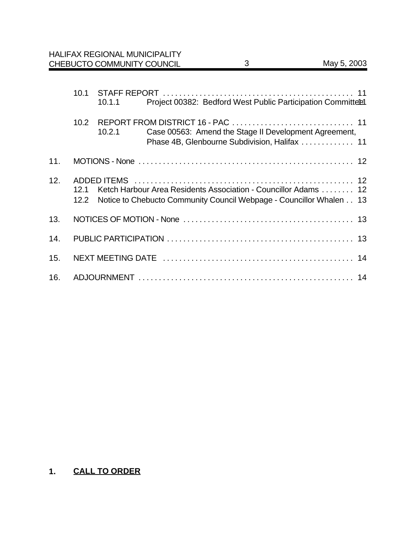|     | 10.1              | 10.1.1                                                                                                                                     | Project 00382: Bedford West Public Participation Committeel                                            |  |  |  |
|-----|-------------------|--------------------------------------------------------------------------------------------------------------------------------------------|--------------------------------------------------------------------------------------------------------|--|--|--|
|     | 10.2 <sub>1</sub> | 10.2.1                                                                                                                                     | Case 00563: Amend the Stage II Development Agreement,<br>Phase 4B, Glenbourne Subdivision, Halifax  11 |  |  |  |
| 11. |                   |                                                                                                                                            |                                                                                                        |  |  |  |
| 12. | 12.1              | Ketch Harbour Area Residents Association - Councillor Adams 12<br>12.2 Notice to Chebucto Community Council Webpage - Councillor Whalen 13 |                                                                                                        |  |  |  |
| 13. |                   |                                                                                                                                            |                                                                                                        |  |  |  |
| 14. |                   |                                                                                                                                            |                                                                                                        |  |  |  |
| 15. |                   |                                                                                                                                            |                                                                                                        |  |  |  |
| 16. |                   |                                                                                                                                            |                                                                                                        |  |  |  |

# **1. CALL TO ORDER**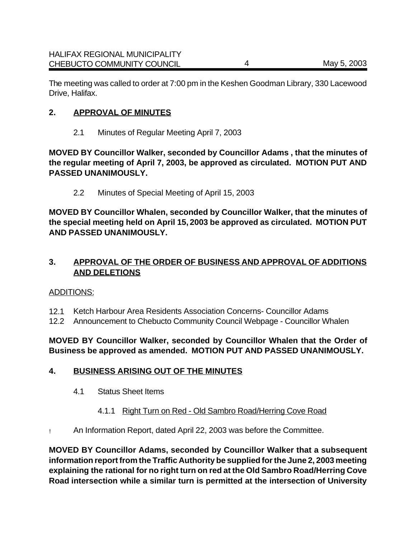The meeting was called to order at 7:00 pm in the Keshen Goodman Library, 330 Lacewood Drive, Halifax.

### **2. APPROVAL OF MINUTES**

2.1 Minutes of Regular Meeting April 7, 2003

**MOVED BY Councillor Walker, seconded by Councillor Adams , that the minutes of the regular meeting of April 7, 2003, be approved as circulated. MOTION PUT AND PASSED UNANIMOUSLY.**

2.2 Minutes of Special Meeting of April 15, 2003

**MOVED BY Councillor Whalen, seconded by Councillor Walker, that the minutes of the special meeting held on April 15, 2003 be approved as circulated. MOTION PUT AND PASSED UNANIMOUSLY.**

## **3. APPROVAL OF THE ORDER OF BUSINESS AND APPROVAL OF ADDITIONS AND DELETIONS**

#### ADDITIONS:

- 12.1 Ketch Harbour Area Residents Association Concerns- Councillor Adams
- 12.2 Announcement to Chebucto Community Council Webpage Councillor Whalen

## **MOVED BY Councillor Walker, seconded by Councillor Whalen that the Order of Business be approved as amended. MOTION PUT AND PASSED UNANIMOUSLY.**

## **4. BUSINESS ARISING OUT OF THE MINUTES**

- 4.1 Status Sheet Items
	- 4.1.1 Right Turn on Red Old Sambro Road/Herring Cove Road
- ! An Information Report, dated April 22, 2003 was before the Committee.

**MOVED BY Councillor Adams, seconded by Councillor Walker that a subsequent information report from the Traffic Authority be supplied for the June 2, 2003 meeting explaining the rational for no right turn on red at the Old Sambro Road/Herring Cove Road intersection while a similar turn is permitted at the intersection of University**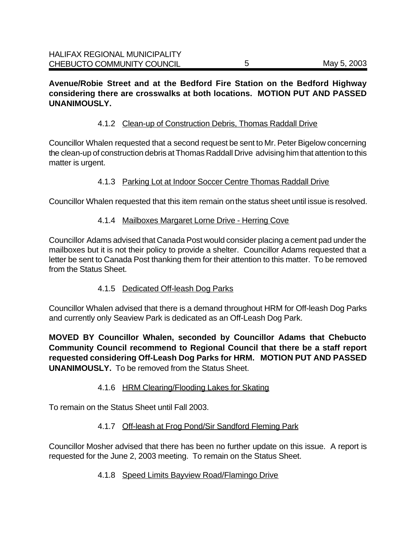**Avenue/Robie Street and at the Bedford Fire Station on the Bedford Highway considering there are crosswalks at both locations. MOTION PUT AND PASSED UNANIMOUSLY.**

## 4.1.2 Clean-up of Construction Debris, Thomas Raddall Drive

Councillor Whalen requested that a second request be sent to Mr. Peter Bigelow concerning the clean-up of construction debris at Thomas Raddall Drive advising him that attention to this matter is urgent.

## 4.1.3 Parking Lot at Indoor Soccer Centre Thomas Raddall Drive

Councillor Whalen requested that this item remain on the status sheet until issue is resolved.

#### 4.1.4 Mailboxes Margaret Lorne Drive - Herring Cove

Councillor Adams advised that Canada Post would consider placing a cement pad under the mailboxes but it is not their policy to provide a shelter. Councillor Adams requested that a letter be sent to Canada Post thanking them for their attention to this matter. To be removed from the Status Sheet.

## 4.1.5 Dedicated Off-leash Dog Parks

Councillor Whalen advised that there is a demand throughout HRM for Off-leash Dog Parks and currently only Seaview Park is dedicated as an Off-Leash Dog Park.

**MOVED BY Councillor Whalen, seconded by Councillor Adams that Chebucto Community Council recommend to Regional Council that there be a staff report requested considering Off-Leash Dog Parks for HRM. MOTION PUT AND PASSED UNANIMOUSLY.** To be removed from the Status Sheet.

## 4.1.6 HRM Clearing/Flooding Lakes for Skating

To remain on the Status Sheet until Fall 2003.

## 4.1.7 Off-leash at Frog Pond/Sir Sandford Fleming Park

Councillor Mosher advised that there has been no further update on this issue. A report is requested for the June 2, 2003 meeting. To remain on the Status Sheet.

## 4.1.8 Speed Limits Bayview Road/Flamingo Drive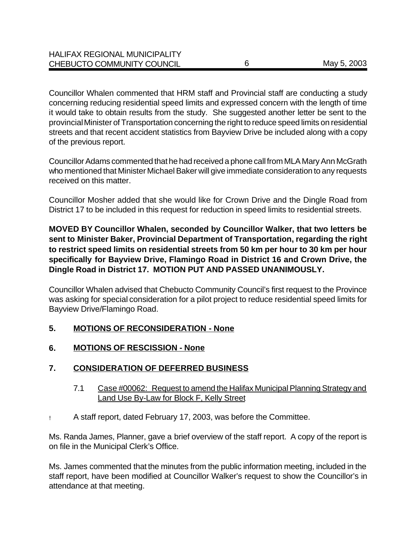Councillor Whalen commented that HRM staff and Provincial staff are conducting a study concerning reducing residential speed limits and expressed concern with the length of time it would take to obtain results from the study. She suggested another letter be sent to the provincial Minister of Transportation concerning the right to reduce speed limits on residential streets and that recent accident statistics from Bayview Drive be included along with a copy of the previous report.

Councillor Adams commented that he had received a phone call from MLA Mary Ann McGrath who mentioned that Minister Michael Baker will give immediate consideration to any requests received on this matter.

Councillor Mosher added that she would like for Crown Drive and the Dingle Road from District 17 to be included in this request for reduction in speed limits to residential streets.

**MOVED BY Councillor Whalen, seconded by Councillor Walker, that two letters be sent to Minister Baker, Provincial Department of Transportation, regarding the right to restrict speed limits on residential streets from 50 km per hour to 30 km per hour specifically for Bayview Drive, Flamingo Road in District 16 and Crown Drive, the Dingle Road in District 17. MOTION PUT AND PASSED UNANIMOUSLY.**

Councillor Whalen advised that Chebucto Community Council's first request to the Province was asking for special consideration for a pilot project to reduce residential speed limits for Bayview Drive/Flamingo Road.

## **5. MOTIONS OF RECONSIDERATION - None**

**6. MOTIONS OF RESCISSION - None**

## **7. CONSIDERATION OF DEFERRED BUSINESS**

- 7.1 Case #00062: Request to amend the Halifax Municipal Planning Strategy and Land Use By-Law for Block F, Kelly Street
- ! A staff report, dated February 17, 2003, was before the Committee.

Ms. Randa James, Planner, gave a brief overview of the staff report. A copy of the report is on file in the Municipal Clerk's Office.

Ms. James commented that the minutes from the public information meeting, included in the staff report, have been modified at Councillor Walker's request to show the Councillor's in attendance at that meeting.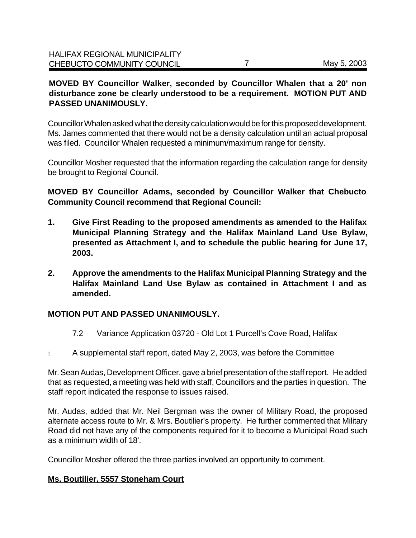## **MOVED BY Councillor Walker, seconded by Councillor Whalen that a 20' non disturbance zone be clearly understood to be a requirement. MOTION PUT AND PASSED UNANIMOUSLY.**

Councillor Whalen asked what the density calculation would be for this proposed development. Ms. James commented that there would not be a density calculation until an actual proposal was filed. Councillor Whalen requested a minimum/maximum range for density.

Councillor Mosher requested that the information regarding the calculation range for density be brought to Regional Council.

**MOVED BY Councillor Adams, seconded by Councillor Walker that Chebucto Community Council recommend that Regional Council:**

- **1. Give First Reading to the proposed amendments as amended to the Halifax Municipal Planning Strategy and the Halifax Mainland Land Use Bylaw, presented as Attachment I, and to schedule the public hearing for June 17, 2003.**
- **2. Approve the amendments to the Halifax Municipal Planning Strategy and the Halifax Mainland Land Use Bylaw as contained in Attachment I and as amended.**

## **MOTION PUT AND PASSED UNANIMOUSLY.**

## 7.2 Variance Application 03720 - Old Lot 1 Purcell's Cove Road, Halifax

! A supplemental staff report, dated May 2, 2003, was before the Committee

Mr. Sean Audas, Development Officer, gave a brief presentation of the staff report. He added that as requested, a meeting was held with staff, Councillors and the parties in question. The staff report indicated the response to issues raised.

Mr. Audas, added that Mr. Neil Bergman was the owner of Military Road, the proposed alternate access route to Mr. & Mrs. Boutilier's property. He further commented that Military Road did not have any of the components required for it to become a Municipal Road such as a minimum width of 18'.

Councillor Mosher offered the three parties involved an opportunity to comment.

## **Ms. Boutilier, 5557 Stoneham Court**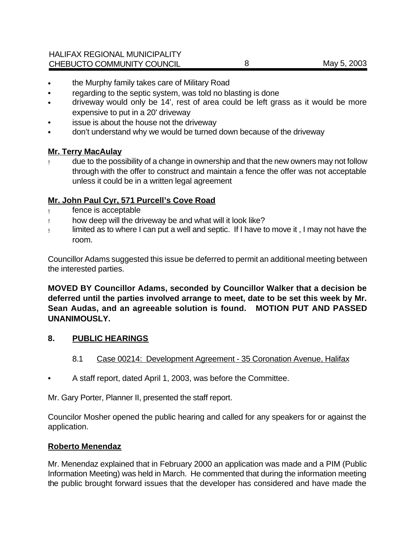- the Murphy family takes care of Military Road
- regarding to the septic system, was told no blasting is done
- driveway would only be 14', rest of area could be left grass as it would be more expensive to put in a 20' driveway
- issue is about the house not the driveway
- don't understand why we would be turned down because of the driveway

#### **Mr. Terry MacAulay**

due to the possibility of a change in ownership and that the new owners may not follow through with the offer to construct and maintain a fence the offer was not acceptable unless it could be in a written legal agreement

## **Mr. John Paul Cyr, 571 Purcell's Cove Road**

- ! fence is acceptable
- ! how deep will the driveway be and what will it look like?
- ! limited as to where I can put a well and septic. If I have to move it , I may not have the room.

Councillor Adams suggested this issue be deferred to permit an additional meeting between the interested parties.

**MOVED BY Councillor Adams, seconded by Councillor Walker that a decision be deferred until the parties involved arrange to meet, date to be set this week by Mr. Sean Audas, and an agreeable solution is found. MOTION PUT AND PASSED UNANIMOUSLY.**

#### **8. PUBLIC HEARINGS**

- 8.1 Case 00214: Development Agreement 35 Coronation Avenue, Halifax
- A staff report, dated April 1, 2003, was before the Committee.

Mr. Gary Porter, Planner II, presented the staff report.

Councilor Mosher opened the public hearing and called for any speakers for or against the application.

#### **Roberto Menendaz**

Mr. Menendaz explained that in February 2000 an application was made and a PIM (Public Information Meeting) was held in March. He commented that during the information meeting the public brought forward issues that the developer has considered and have made the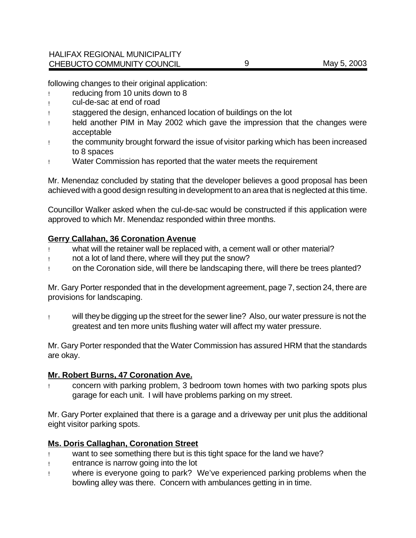following changes to their original application:

- ! reducing from 10 units down to 8
- ! cul-de-sac at end of road
- ! staggered the design, enhanced location of buildings on the lot
- ! held another PIM in May 2002 which gave the impression that the changes were acceptable
- ! the community brought forward the issue of visitor parking which has been increased to 8 spaces
- ! Water Commission has reported that the water meets the requirement

Mr. Menendaz concluded by stating that the developer believes a good proposal has been achieved with a good design resulting in development to an area that is neglected at this time.

Councillor Walker asked when the cul-de-sac would be constructed if this application were approved to which Mr. Menendaz responded within three months.

#### **Gerry Callahan, 36 Coronation Avenue**

- what will the retainer wall be replaced with, a cement wall or other material?
- ! not a lot of land there, where will they put the snow?
- ! on the Coronation side, will there be landscaping there, will there be trees planted?

Mr. Gary Porter responded that in the development agreement, page 7, section 24, there are provisions for landscaping.

! will they be digging up the street for the sewer line? Also, our water pressure is not the greatest and ten more units flushing water will affect my water pressure.

Mr. Gary Porter responded that the Water Commission has assured HRM that the standards are okay.

#### **Mr. Robert Burns, 47 Coronation Ave.**

! concern with parking problem, 3 bedroom town homes with two parking spots plus garage for each unit. I will have problems parking on my street.

Mr. Gary Porter explained that there is a garage and a driveway per unit plus the additional eight visitor parking spots.

#### **Ms. Doris Callaghan, Coronation Street**

- ! want to see something there but is this tight space for the land we have?
- ! entrance is narrow going into the lot
- ! where is everyone going to park? We've experienced parking problems when the bowling alley was there. Concern with ambulances getting in in time.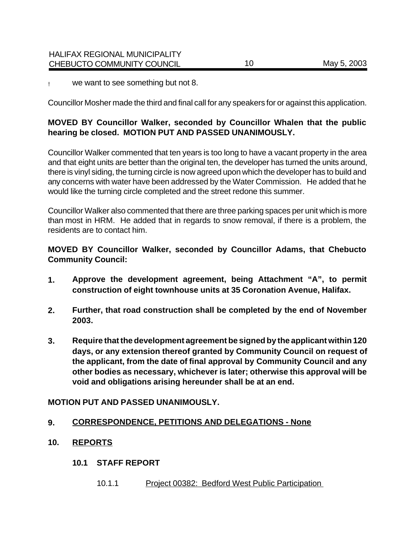! we want to see something but not 8.

Councillor Mosher made the third and final call for any speakers for or against this application.

## **MOVED BY Councillor Walker, seconded by Councillor Whalen that the public hearing be closed. MOTION PUT AND PASSED UNANIMOUSLY.**

Councillor Walker commented that ten years is too long to have a vacant property in the area and that eight units are better than the original ten, the developer has turned the units around, there is vinyl siding, the turning circle is now agreed upon which the developer has to build and any concerns with water have been addressed by the Water Commission. He added that he would like the turning circle completed and the street redone this summer.

Councillor Walker also commented that there are three parking spaces per unit which is more than most in HRM. He added that in regards to snow removal, if there is a problem, the residents are to contact him.

**MOVED BY Councillor Walker, seconded by Councillor Adams, that Chebucto Community Council:**

- **1. Approve the development agreement, being Attachment "A", to permit construction of eight townhouse units at 35 Coronation Avenue, Halifax.**
- **2. Further, that road construction shall be completed by the end of November 2003.**
- **3. Require that the development agreement be signed by the applicant within 120 days, or any extension thereof granted by Community Council on request of the applicant, from the date of final approval by Community Council and any other bodies as necessary, whichever is later; otherwise this approval will be void and obligations arising hereunder shall be at an end.**

## **MOTION PUT AND PASSED UNANIMOUSLY.**

#### **9. CORRESPONDENCE, PETITIONS AND DELEGATIONS - None**

- **10. REPORTS**
	- **10.1 STAFF REPORT**
		- 10.1.1 Project 00382: Bedford West Public Participation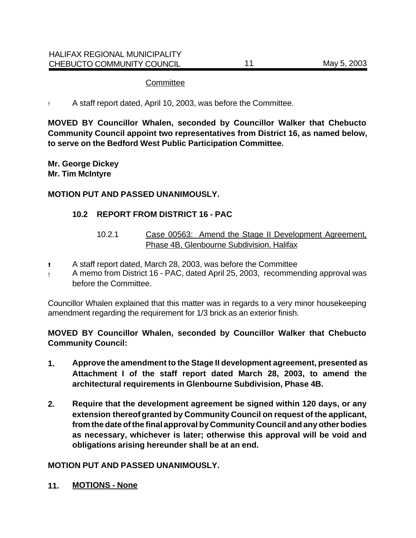#### **Committee**

! A staff report dated, April 10, 2003, was before the Committee.

**MOVED BY Councillor Whalen, seconded by Councillor Walker that Chebucto Community Council appoint two representatives from District 16, as named below, to serve on the Bedford West Public Participation Committee.** 

**Mr. George Dickey Mr. Tim McIntyre**

#### **MOTION PUT AND PASSED UNANIMOUSLY.**

#### **10.2 REPORT FROM DISTRICT 16 - PAC**

- 10.2.1 Case 00563: Amend the Stage II Development Agreement, Phase 4B, Glenbourne Subdivision, Halifax
- **!!** A staff report dated, March 28, 2003, was before the Committee
- ! A memo from District 16 PAC, dated April 25, 2003, recommending approval was before the Committee.

Councillor Whalen explained that this matter was in regards to a very minor housekeeping amendment regarding the requirement for 1/3 brick as an exterior finish.

**MOVED BY Councillor Whalen, seconded by Councillor Walker that Chebucto Community Council:**

- **1. Approve the amendment to the Stage II development agreement, presented as Attachment I of the staff report dated March 28, 2003, to amend the architectural requirements in Glenbourne Subdivision, Phase 4B.**
- **2. Require that the development agreement be signed within 120 days, or any extension thereof granted by Community Council on request of the applicant, from the date of the final approval by Community Council and any other bodies as necessary, whichever is later; otherwise this approval will be void and obligations arising hereunder shall be at an end.**

#### **MOTION PUT AND PASSED UNANIMOUSLY.**

**11. MOTIONS - None**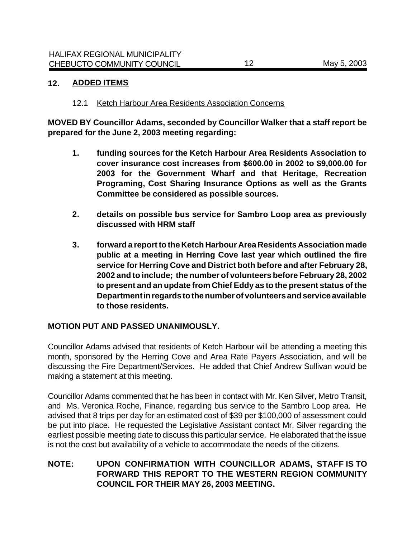#### **12. ADDED ITEMS**

#### 12.1 Ketch Harbour Area Residents Association Concerns

**MOVED BY Councillor Adams, seconded by Councillor Walker that a staff report be prepared for the June 2, 2003 meeting regarding:**

- **1. funding sources for the Ketch Harbour Area Residents Association to cover insurance cost increases from \$600.00 in 2002 to \$9,000.00 for 2003 for the Government Wharf and that Heritage, Recreation Programing, Cost Sharing Insurance Options as well as the Grants Committee be considered as possible sources.**
- **2. details on possible bus service for Sambro Loop area as previously discussed with HRM staff**
- **3. forward a report to the Ketch Harbour Area Residents Association made public at a meeting in Herring Cove last year which outlined the fire service for Herring Cove and District both before and after February 28, 2002 and to include; the number of volunteers before February 28, 2002 to present and an update from Chief Eddy as to the present status of the Department in regards to the number of volunteers and service available to those residents.**

#### **MOTION PUT AND PASSED UNANIMOUSLY.**

Councillor Adams advised that residents of Ketch Harbour will be attending a meeting this month, sponsored by the Herring Cove and Area Rate Payers Association, and will be discussing the Fire Department/Services. He added that Chief Andrew Sullivan would be making a statement at this meeting.

Councillor Adams commented that he has been in contact with Mr. Ken Silver, Metro Transit, and Ms. Veronica Roche, Finance, regarding bus service to the Sambro Loop area. He advised that 8 trips per day for an estimated cost of \$39 per \$100,000 of assessment could be put into place. He requested the Legislative Assistant contact Mr. Silver regarding the earliest possible meeting date to discuss this particular service. He elaborated that the issue is not the cost but availability of a vehicle to accommodate the needs of the citizens.

## **NOTE: UPON CONFIRMATION WITH COUNCILLOR ADAMS, STAFF IS TO FORWARD THIS REPORT TO THE WESTERN REGION COMMUNITY COUNCIL FOR THEIR MAY 26, 2003 MEETING.**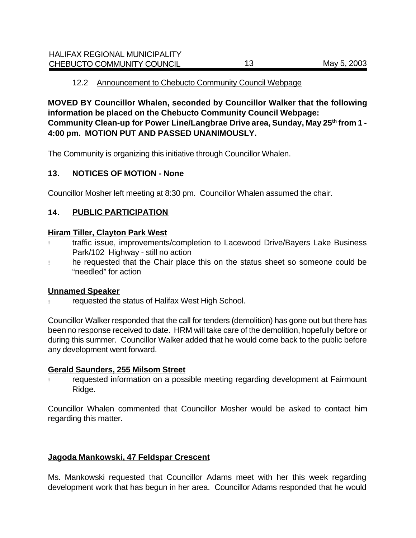#### 12.2 Announcement to Chebucto Community Council Webpage

**MOVED BY Councillor Whalen, seconded by Councillor Walker that the following information be placed on the Chebucto Community Council Webpage: Community Clean-up for Power Line/Langbrae Drive area, Sunday, May 25th from 1 - 4:00 pm. MOTION PUT AND PASSED UNANIMOUSLY.**

The Community is organizing this initiative through Councillor Whalen.

#### **13. NOTICES OF MOTION - None**

Councillor Mosher left meeting at 8:30 pm. Councillor Whalen assumed the chair.

## **14. PUBLIC PARTICIPATION**

#### **Hiram Tiller, Clayton Park West**

- ! traffic issue, improvements/completion to Lacewood Drive/Bayers Lake Business Park/102 Highway - still no action
- ! he requested that the Chair place this on the status sheet so someone could be "needled" for action

#### **Unnamed Speaker**

! requested the status of Halifax West High School.

Councillor Walker responded that the call for tenders (demolition) has gone out but there has been no response received to date. HRM will take care of the demolition, hopefully before or during this summer. Councillor Walker added that he would come back to the public before any development went forward.

#### **Gerald Saunders, 255 Milsom Street**

requested information on a possible meeting regarding development at Fairmount Ridge.

Councillor Whalen commented that Councillor Mosher would be asked to contact him regarding this matter.

## **Jagoda Mankowski, 47 Feldspar Crescent**

Ms. Mankowski requested that Councillor Adams meet with her this week regarding development work that has begun in her area. Councillor Adams responded that he would